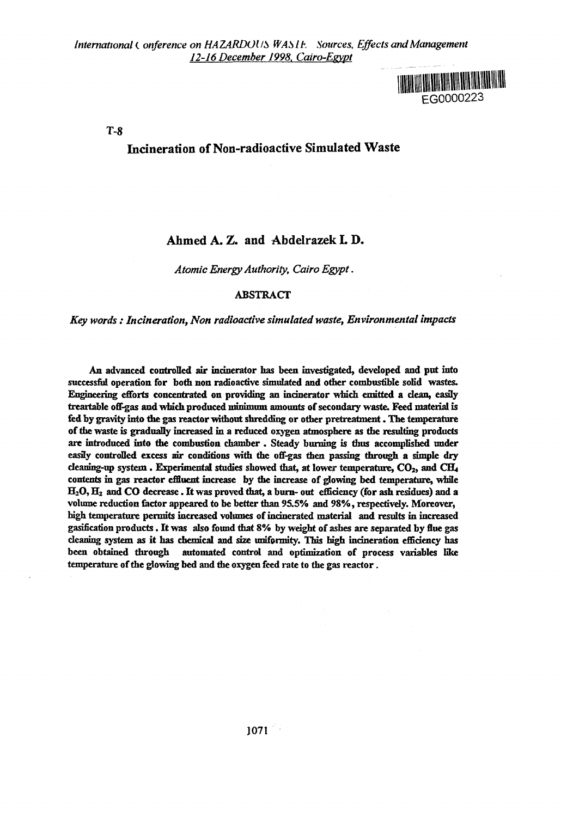<u> 1988 - 1989 An Ann ann ann ann an 1988 An 1988 An 1988.</u> EG0000223

T-8

## Incineration of Non-radioactive Simulated Waste

## Ahmed A. Z. and Abdelrazek L D.

*Atomic Energy Authority, Cairo Egypt*.

#### ABSTRACT

### *Key words : Incineration, Non radioactive simulated waste, Environmental impacts*

**An advanced controlled air incinerator has been investigated, developed and put into successful operation for both non radioactive simulated and other combustible solid wastes. Engineering efforts concentrated on providing an incinerator which emitted a clean, easily treartahle off-gas and which produced prinimmm amounts of secondary waste. Feed material is fed by gravity into the gas reactor without shredding or other pretreatment. The temperature of the waste is gradually increased in a reduced oxygen atmosphere as the resulting products are introduced into the combustion chamber . Steady burning is thus accomplished under easily controlled excess air conditions with the off-gas then passing through a simple dry deamng-up system. Experimental studies showed that, at lower temperature, CO2, and CEL, contents in gas reactor effluent increase by the increase of glowing bed temperature, while H2O, H2 and CO decrease. It was proved that, a burn- out efficiency (for ash residues) and a volume reduction factor appeared to be better than 95.5% and 98%, respectively. Moreover,** high temperature permits increased volumes of incinerated material and results in increased **gasification products. It was also found that 8% by weight of ashes are separated by flue gas cleaning system as it has chemical and size uniformity. This high incineration efficiency has been obtained through automated control and optimization of process variables like temperature of the glowing bed and the oxygen feed rate to the gas reactor.**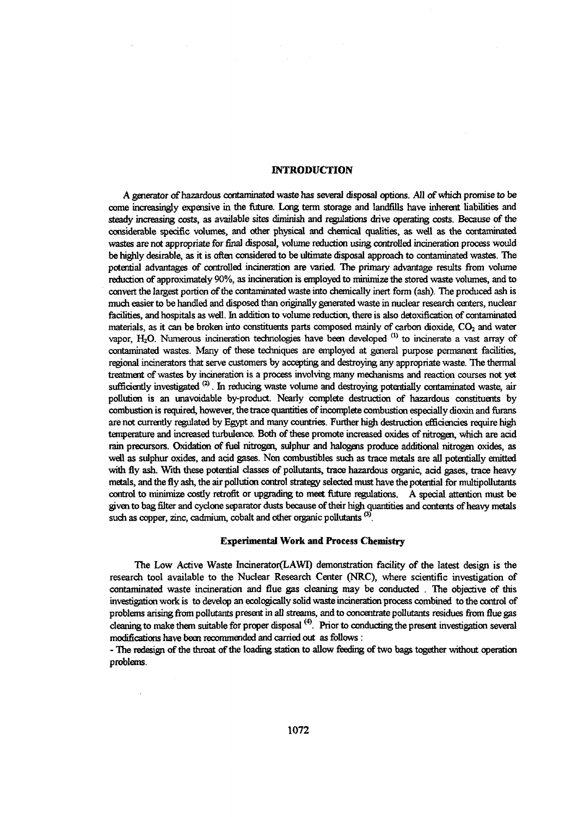#### **INTRODUCTION**

A generator of hazardous contaminated waste has several disposal options. All of which promise to be come increasingly expensive in the future. Long term storage and landfills have inherent liabilities and steady increasing costs, as available sites diminish and regulations drive operating costs. Because of the considerable specific volumes, and other physical and chemical qualities, as well as the contaminated wastes are not appropriate for final disposal, volume reduction using controlled incineration process would be highly desirable, as it is often considered to be ultimate disposal approach to contaminated wastes. The potential advantages of controlled incineration are varied. The primary advantage results from volume reduction of approximately 90%, as incineration is employed to minimize the stored waste volumes, and to convert the largest portion of the contaminated waste into chemically inert form (ash). The produced ash is much easier to be handled and disposed than originally generated waste in nuclear research centers, nuclear facilities, and hospitals as well. In addition to volume reduction, there is also detoxification of contaminated materials, as it can be broken into constituents parts composed mainly of carbon dioxide,  $CO<sub>2</sub>$  and water vapor, H<sub>2</sub>O. Numerous incineration technologies have been developed <sup>(1)</sup> to incinerate a vast array of contaminated wastes. Many of these techniques are employed at general purpose permanent facilities, regional incinerators that serve customers by accepting and destroying any appropriate waste. The thermal treatment of wastes by incineration is a process involving many mechanisms and reaction courses not yet sufficiently investigated<sup>(2)</sup>. In reducing waste volume and destroying potentially contaminated waste, air pollution is an unavoidable by-product. Nearly complete destruction of hazardous constituents by combustion is required, however, the trace quantities of incomplete combustion especially dioxin and furans are not currently regulated by Egypt and many countries. Further high destruction efficiencies require high temperature and increased turbulence. Both of these promote increased oxides of nitrogen, which are acid rain precursors. Oxidation of fuel nitrogen, sulphur and halogens produce additional nitrogen oxides, as well as sulphur oxides, and acid gases. Non combustibles such as trace metals are all potentially emitted with fly ash. With these potential classes of pollutants, trace hazardous organic, acid gases, trace heavy metals, and the fly ash, the air pollution control strategy selected must have the potential for multipollutants control to minimize costly retrofit or upgrading to meet future regulations. A special attention must be given to bag filter and cyclone separator dusts because of their high quantities and contents of heavy metals such as copper, zinc, cadmium, cobalt and other organic pollutants *®\*

#### **Experimental Work and Process Chemistry**

The Low Active Waste mcinerator(LAWI) demonstration facility of the latest design is the research tool available to the Nuclear Research Center (NRC), where scientific investigation of contaminated waste incineration and flue gas cleaning may be conducted . The objective of this investigation work is to develop an ecologically solid waste incineration process combined to the control of problems arising from pollutants present in all streams, and to concentrate pollutants residues from flue gas cleaning to make them suitable for proper disposal<sup>(4)</sup>. Prior to conducting the present investigation several modifications have been recommended and carried out as follows :

- The redesign of the throat of the loading station to allow feeding of two bags together without operation problems.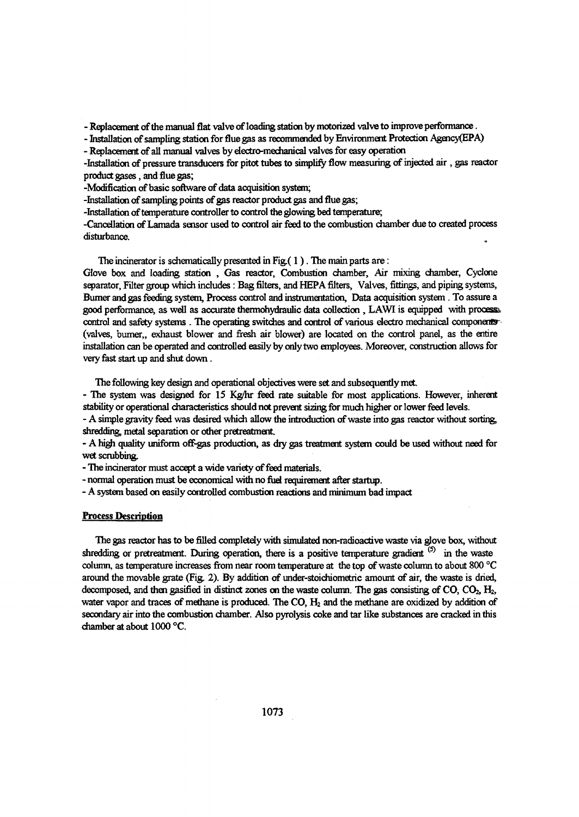- Replacement of the manual flat valve of loading station by motorized valve to improve performance.

- Installation of sampling station for flue gas as recommended by Environment Protection Agency(EPA)

- Replacement of all manual valves by electro-mechanical valves for easy operation

-Installation of pressure transducers for prtot tubes to simplify flow measuring of injected air , gas reactor product gases, and flue gas;

-Modification of basic software of data acquisition system;

-Installation of sampling points of gas reactor product gas and flue gas;

-Installation of temperature controller to control the glowing bed temperature;

-Cancellation of Lamada sensor used to control air feed to the combustion chamber due to created process disturbance.

The incinerator is schematically presented in Fig.( $1$ ). The main parts are:

Glove box and loading station, Gas reactor, Combustion chamber, Air mixing chamber, Cyclone separator, Filter group which includes : Bag filters, and HEPA filters, Valves, fittings, and piping systems, Burner and gas feeding system, Process control and instrumentation, Data acquisition system. To assure a good performance, as well as accurate thermohydraulic data collection, LAWI is equipped with process. control and safety systems. The operating switches and control of various electro mechanical components (valves, burner,, exhaust blower and fresh air blower) are located on the control panel, as the entire installation can be operated and controlled easily by only two employees. Moreover, construction allows for very fast start up and shut down.

The following key design and operational objectives were set and subsequently met.

- The system was designed for 15 Kg/hr feed rate suitable for most applications. However, inherent stability or operational characteristics should not prevent sizing for much higher or lower feed levels.

- A simple gravity feed was desired which allow the introduction of waste into gas reactor without sorting, shredding, metal separation or other pretreatment.

- A high quality uniform off-gas production, as dry gas treatment system could be used without need for wet scrubbing.

- The incinerator must accept a wide variety of feed materials.

- normal operation must be economical with no fuel requirement after startup.

- A system based on easily controlled combustion reactions and minimum bad impact

#### **Process Description**

The gas reactor has to be filled completely with simulated non-radioactive waste via glove box, without shredding or pretreatment. During operation, there is a positive temperature gradient  $(5)$  in the waste column, as temperature increases from near room temperature at the top of waste column to about 800 °C around the movable grate (Fig. 2). By addition of under-stoichiometric amount of air, the waste is dried, decomposed, and then gasified in distinct zones on the waste column. The gas consisting of CO,  $CO<sub>2</sub>$ ,  $H<sub>2</sub>$ , water vapor and traces of methane is produced. The CO,  $H_2$  and the methane are oxidized by addition of secondary air into the combustion chamber. Also pyrolysis coke and tar like substances are cracked in this chamber at about 1000 *°C.*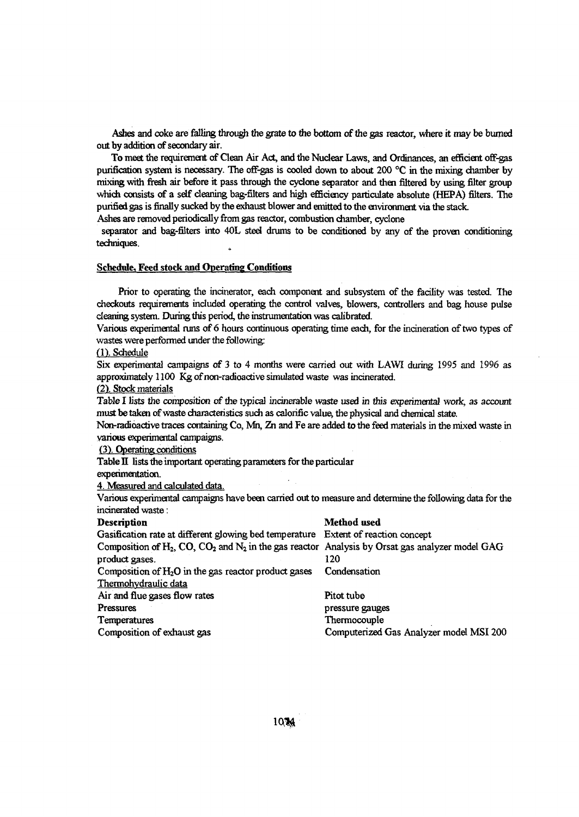*Ashes* and coke are falling through the grate to the bottom of the gas reactor, where it may be burned out by addition of secondary air.

To meet the requirement of Clean Air Act, and the Nuclear Laws, and Ordinances, an efficient off-gas purification system is necessary. The off-gas is cooled down to about 200 °C in the mixing chamber by mixing with fresh air before it pass through the cyclone separator and then filtered by using filter group which consists of a self cleaning bag-filters and high efficiency paniculate absolute (HEPA) filters. The purified gas is finally sucked by the exhaust blower and emitted to the environment via the stack.

Ashes are removed periodically from gas reactor, combustion chamber, cyclone

separator and bag-filters into 40L steel drums to be conditioned by any of the proven conditioning techniques.

#### Schedule, Feed stock and Operating Conditions

Prior to operating the incinerator, each component and subsystem of the facility was tested. The checkouts requirements included operating the control valves, blowers, controllers and bag house pulse cleaning system. During this period, the instrumentation was calibrated.

Various experimental runs of 6 hours continuous operating time each, for the incineration of two types of wastes were performed under the following:

(1). Schedule

Six experimental campaigns of 3 to 4 months were carried out with LAWI during 1995 and 1996 as approximately 1100 Kg of non-radioactive simulated waste was incinerated.

(2). Stock materials

Table I lists the composition of the typical incinerable waste used in this experimental work, as account must be taken of waste characteristics such as calorific value, the physical and chemical state.

Non-radioactive traces containing Co, Mh, *In* and Fe are added to the feed materials in the mixed waste in various experimental campaigns.

*(3\* Operating conditions

Thermohvdraulic data

Table II lists the important operating parameters for the particular

experimentation.

4. Measured and calculated data.

Various experimental campaigns have been carried out to measure and determine the following data for the incinerated waste:

#### Description Method used Gasification rate at different glowing bed temperature Extent of reaction concept Composition of H<sub>2</sub>, CO, CO<sub>2</sub> and N<sub>2</sub> in the gas reactor Analysis by Orsat gas analyzer model GAG product gases. 120

Composition of  $H_2O$  in the gas reactor product gases Condensation

Air and flue gases flow rates Pitot tube Pressures **pressure gauges** pressure gauges Temperatures Thermocouple Composition of exhaust gas Computerized Gas Analyzer model MSI 200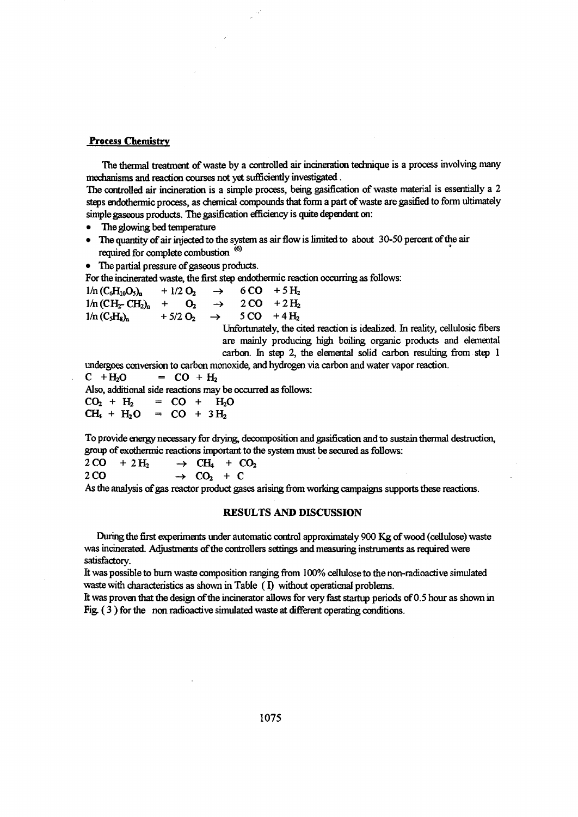#### Process Chemistry

The thermal treatment of waste by a controlled air incineration technique is a process involving many mechanisms and reaction courses not yet sufficiently investigated.

The controlled air incineration is a simple process, being gasification of waste material is essentially a 2 steps endothermic process, as chemical compounds that form a part of waste are gasified to form ultimately simple gaseous products. The gasification efficiency is quite dependent on:

- The glowing bed temperature
- The quantity of air injected to the system as air flow is limited to about 30-50 percent of the air required for complete combustion <sup>(6)</sup>
- The partial pressure of gaseous products.

For the incinerated waste, the first step endothermic reaction occurring as follows:

| $1/n$ (C <sub>6</sub> H <sub>10</sub> O <sub>5</sub> ) <sub>n</sub> | $+1/2$ O <sub>2</sub> | $\rightarrow$ 6CO +5H <sub>2</sub>                       |                                                            |
|---------------------------------------------------------------------|-----------------------|----------------------------------------------------------|------------------------------------------------------------|
| $1/n$ (CH <sub>2</sub> CH <sub>2</sub> ) <sub>n</sub>               |                       | $+$ O <sub>2</sub> $\rightarrow$ 2 CO + 2 H <sub>2</sub> |                                                            |
| $1/n$ (C <sub>5</sub> H <sub>8</sub> ) <sub>n</sub>                 |                       |                                                          | $+5/2$ O <sub>2</sub> $\rightarrow$ 5 CO +4 H <sub>2</sub> |
|                                                                     |                       |                                                          |                                                            |

Unfortunately, the cited reaction is idealized. In reality, cellulosic fibers are mainly producing high boiling organic products and elemental carbon, in step 2, the elemental solid carbon resulting from step 1

undergoes conversion to carbon monoxide, and hydrogen via carbon and water vapor reaction.

 $C + H_2O = CO + H_2$ 

Also, additional side reactions may be occurred as follows:

 $CO_2 + H_2 = CO + H_2O$  $CH_4 + H_2O = CO + 3H_2$ 

To provide energy necessary for drying, decomposition and gasification and to sustain thermal destruction, group of exothermic reactions important to the system must be secured as follows:<br> $2 CO + 2 H_2 \rightarrow CH_4 + CO_2$ 

 $\rightarrow$  CH<sub>a</sub> + CO<sub>2</sub>  $2 CO \rightarrow CO_2 + C$ 

As the analysis of gas reactor product gases arising from working campaigns supports these reactions.

#### RESULTS AND DISCUSSION

During the first experiments under automatic control approximately 900 Kg of wood (cellulose) waste was incinerated. Adjustments of the controllers settings and measuring instruments as required were satisfactory.

It was possible to burn waste composition ranging from 100% cellulose to the non-radioactive simulated waste with characteristics as shown in Table (I) without operational problems.

It was proven that the design of the incinerator allows for very fast startup periods of 0.5 hour as shown in Fig (3 ) for the non radioactive simulated waste at different operating conditions.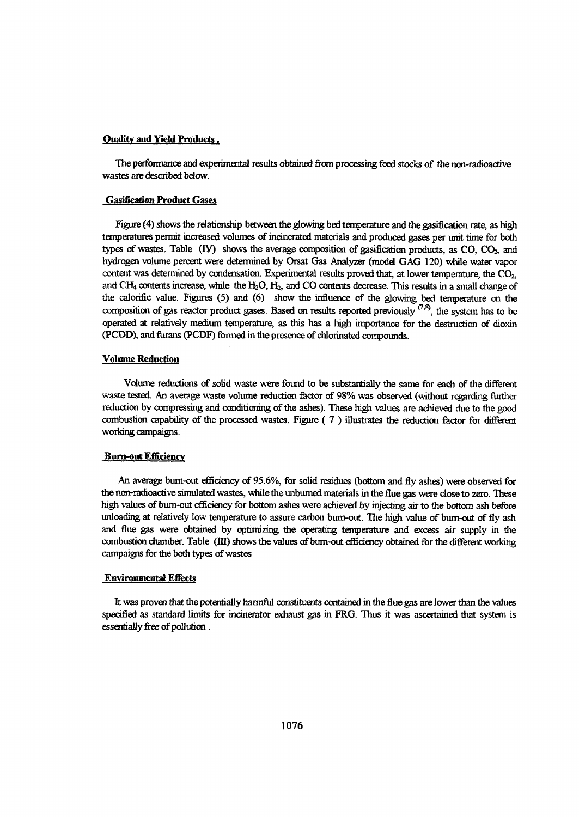#### Quality and Yield Products.

The performance and experimental results obtained from processing feed stocks of the non-radioactive wastes are described below.

#### Gasification Product Gases

Figure (4) shows the relationship between the glowing bed temperature and the gasification rate, as high temperatures permit increased volumes of incinerated materials and produced gases per unit time for both types of wastes. Table  $(IV)$  shows the average composition of gasification products, as  $CO$ ,  $CO<sub>2</sub>$ , and hydrogen volume percent were determined by Orsat Gas Analyzer (model GAG 120) while water vapor content was determined by condensation. Experimental results proved that, at lower temperature, the  $CO<sub>2</sub>$ , and CH<sub>4</sub> contents increase, while the H<sub>2</sub>O, H<sub>2</sub>, and CO contents decrease. This results in a small change of the calorific value. Figures (5) and (6) show the influence of the glowing bed temperature on the composition of gas reactor product gases. Based on results reported previously  $(7,8)$ , the system has to be operated at relatively medium temperature, as this has a high importance for the destruction of dioxin (PCDD), and furans (PCDF) formed in the presence of chlorinated compounds.

#### Volume Reduction

Volume reductions of solid waste were found to be substantially the same for each of the different waste tested. An average waste volume reduction factor of 98% was observed (without regarding further reduction by compressing and conditioning of the ashes). These high values are achieved due to the good combustion capability of the processed wastes. Figure ( 7 ) illustrates the reduction factor for different working campaigns.

#### **Burn-out Efficiency**

An average bum-out efficiency of 95.6%, for solid residues (bottom and fly ashes) were observed for the non-radioactive simulated wastes, while the unbumed materials in the flue gas were dose to zero. These high values of bum-out efficiency for bottom ashes were achieved by injecting air to the bottom ash before unloading at relatively low temperature to assure carbon bum-out. The high value of bum-out of fly ash and flue gas were obtained by optimizing the operating temperature and excess air supply in the combustion chamber. Table (El) shows the values of bum-out effidency obtained for the different working campaigns for the both types of wastes

#### Environmental Effects

It was proven that the potentially harmful constituents contained in the flue gas are lower than the values specified as standard limits for incinerator exhaust gas in FRG. Thus it was ascertained that system is essentially free of pollution.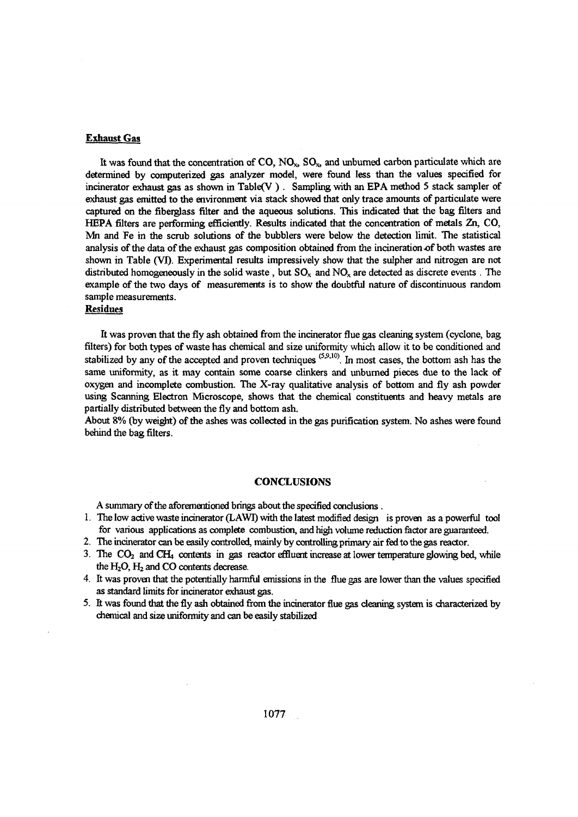#### **Exhaust Gas**

It was found that the concentration of  $CO$ ,  $NO<sub>x</sub>$ ,  $SO<sub>x</sub>$ , and unburned carbon particulate which are determined by computerized gas analyzer model, were found less than the values specified for incinerator exhaust gas as shown in Table(V ) . Sampling with an EPA method 5 stack sampler of exhaust gas emitted to the environment via stack showed that only trace amounts of particulate were captured on the fiberglass filter and the aqueous solutions. This indicated that the bag filters and HEPA filters are performing efficiently. Results indicated that the concentration of metals Zn, CO, Mi and Fe in the scrub solutions of the bubblers were below the detection limit. The statistical analysis of the data of the exhaust gas composition obtained from the incineration *of* both wastes are shown in Table (VI). Experimental results impressively show that the sulpher and nitrogen are not distributed homogeneously in the solid waste, but  $SO_x$  and  $NO_x$  are detected as discrete events. The example of the two days of measurements is to show the doubtful nature of discontinuous random sample measurements.

### Residues

It was proven that the fly ash obtained from the incinerator flue gas cleaning system (cyclone, bag filters) for both types of waste has chemical and size uniformity which allow it to be conditioned and stabilized by any of the accepted and proven techniques  $(5,9,10)$ . In most cases, the bottom ash has the same uniformity, as it may contain some coarse clinkers and unbumed pieces due to the lack of oxygen and incomplete combustion. The X-ray qualitative analysis of bottom and fly ash powder using Scanning Electron Microscope, shows that the chemical constituents and heavy metals are partially distributed between the fly and bottom ash.

About 8% (by weight) of the ashes was collected in the gas purification system. No ashes were found behind the bag filters.

#### **CONCLUSIONS**

A summary of the aforementioned brings about the specified conclusions .

- 1. The low active waste incinerator (LAWI) with the latest modified design is proven as a powerful tool for various applications as complete combustion, and high volume reduction factor are guaranteed.
- 2. The incinerator can be easily controlled, mainly by controlling primary air fed to the gas reactor.
- 3. The  $CO<sub>2</sub>$  and  $CH<sub>4</sub>$  contents in gas reactor effluent increase at lower temperature glowing bed, while the  $H_2O$ ,  $H_2$  and CO contents decrease.
- 4. It was proven that the potentially harmful emissions in the flue gas are lower than the values specified as standard limits for incinerator exhaust gas.
- 5. It was found that the fly ash obtained from the incinerator flue gas cleaning system is characterized by chemical and size uniformity and can be easily stabilized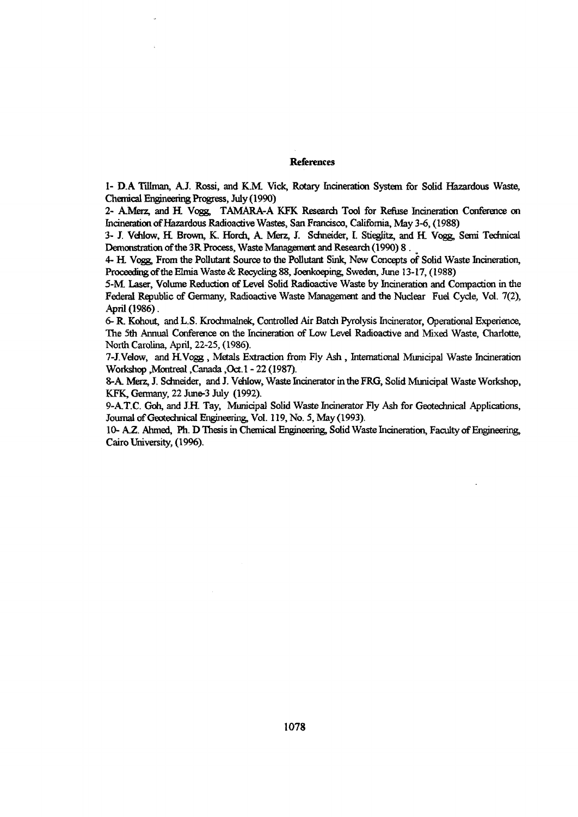#### References

1- D.A Tillman, A.J. Rossi, and K.M. Vick, Rotary Incineration System for Solid Hazardous Waste, Chemical Engineering Progress, July (1990)

2- AJMerz, and H. Vogg, TAMARA-A KFK Research Tool for Refuse Incineration Conference on Incineration of Hazardous Radioactive Wastes, San Francisco, California, May 3-6, (1988)

3- J. Vehlow, H. Brown, K. Horch, A. Merz, J. Schneider, I. Stieglitz, and H. Vogg, Semi Technical Demonstration of the 3R Process, Waste Management and Research (1990) 8.

4- H. Vogg, From the Pollutant Source to the Pollutant Sink, New Concepts of Solid Waste Incineration, Proceeding of the Elmia Waste & Recycling 88, Joenkoeping, Sweden, June 13-17, (1988)

5-M. Laser, Volume Reduction of Level Solid Radioactive Waste by Incineration and Compaction in the Federal Republic of Germany, Radioactive Waste Management and the Nuclear Fuel Cycle, Vol. 7(2), April (1986).

6- R. Kohout, and L.S. Krochmalnek, Controlled Air Batch Pyrolysis Incinerator, Operational Experience, The 5th Annual Conference on the Incineration of Low Level Radioactive and Mixed Waste, Charlotte, North Carolina, April, 22-25, (1986).

7-J.Velow, and HVqgg , Metals Extraction from Fly Ash , International Municipal Waste Incineration Workshop .Montreal ,Canada ,Oct.l - 22 (1987).

8-A. Merz, J. Schneider, and J. Vehlow, Waste Incinerator in the FRG, Solid Municipal Waste Workshop, KFK, Germany, 22 June-3 July (1992).

9-A.T.C. Goh, and J.H. Tay, Municipal Solid Waste Incinerator Fly Ash for Geotechnical Applications, Journal of Geotechnical Engineering, Vol. 119, No. 5, May (1993).

10- A.Z. Ahmed, Ph. D Thesis in Chemical Engineering, Solid Waste Incineration, Faculty of Engineering, Cairo University, (1996).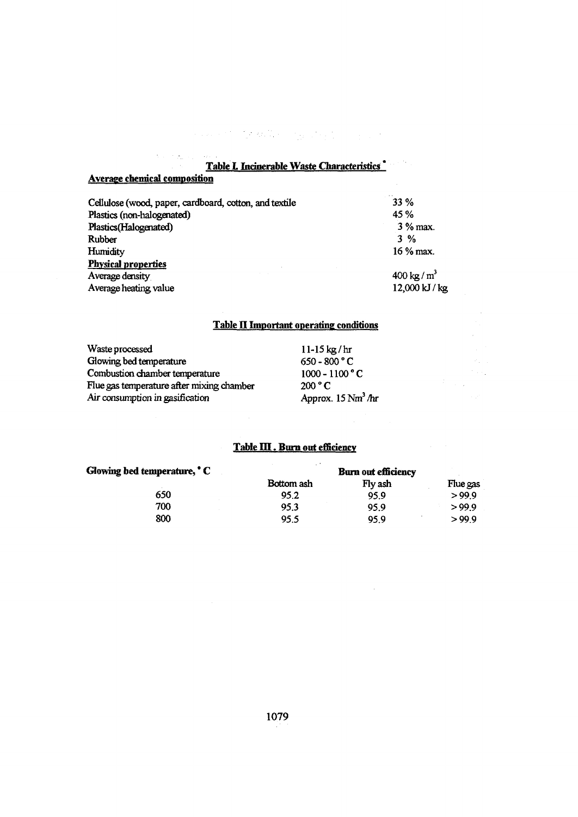**Table L Incinerable Waste Characteristics** 

 $\label{eq:2} \mathcal{L}_{\mathcal{M}}(\mathcal{A},\mathcal{A},\mathcal{A}) = \sum_{i=1}^n \mathcal{L}_{\mathcal{M}}(\mathcal{A},\mathcal{A},\mathcal{A}) = \sum_{i=1}^n \mathcal{L}_{\mathcal{M}}(\mathcal{A},\mathcal{A},\mathcal{A}) = \sum_{i=1}^n \mathcal{L}_{\mathcal{M}}(\mathcal{A},\mathcal{A},\mathcal{A})$ 

| Cellulose (wood, paper, cardboard, cotton, and textile | 33 %                 |
|--------------------------------------------------------|----------------------|
| Plastics (non-halogenated)                             | 45%                  |
| Plastics(Halogenated)                                  | 3 % max.             |
| Rubber                                                 | $3\%$                |
| Humidity                                               | $16\%$ max.          |
| <b>Physical properties</b>                             |                      |
| Average density                                        | $400 \text{ kg/m}^3$ |
| Average heating value                                  | 12,000 kJ / kg       |
|                                                        |                      |

## **Table IE Important operating conditions**

 $\hat{P}^{\dagger}$  and

| Waste processed                           | $11-15$ kg/hr                 |
|-------------------------------------------|-------------------------------|
| Glowing bed temperature                   | $650 - 800 °C$                |
| Combustion chamber temperature            | $1000 - 1100 °C$              |
| Flue gas temperature after mixing chamber | 200 °C                        |
| Air consumption in gasification           | Approx. $15 \text{ Nm}^3$ /hr |

**Average chemical composition**

 $\overline{\mathcal{L}}$ in Pasi 

## **Table III. Burn out efficiency**

| Glowing bed temperature, C | <b>Burn out efficiency</b> |         |          |  |
|----------------------------|----------------------------|---------|----------|--|
|                            | Bottom ash                 | Fly ash | Flue gas |  |
| 650                        | 95.2                       | 95.9    | >99.9    |  |
| 700                        | 95.3                       | 95.9    | >99.9    |  |
| 800                        | 95.5                       | 95.9    | >99.9    |  |

 $\hat{\mathcal{A}}$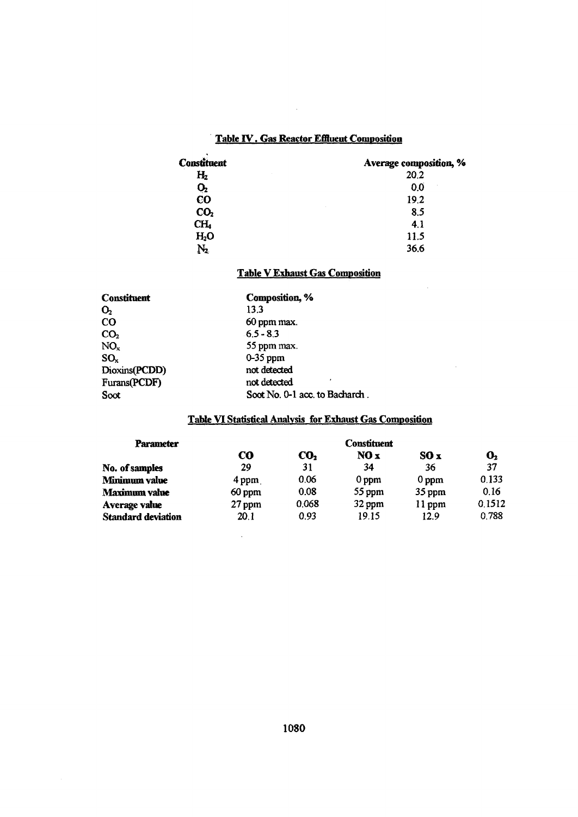# **Table IV. Gas Reactor Effluent Composition**

 $\sim 10$ 

| <b>Constituent</b> | Average composition, % |
|--------------------|------------------------|
| $H_2$              | 20.2                   |
| Q,                 | 0.0                    |
| <b>CO</b>          | 19.2                   |
| CO <sub>2</sub>    | 8.5                    |
| CH,                | 4.1                    |
| H <sub>2</sub> O   | 11.5                   |
| $\rm N_{2}$        | 36.6                   |

# **Table V Exhaust Gas Composition**

J.

 $\sim$ 

| Composition, %                 |  |  |
|--------------------------------|--|--|
| 13.3                           |  |  |
| 60 ppm max.                    |  |  |
| $6.5 - 8.3$                    |  |  |
| 55 ppm max.                    |  |  |
| $0-35$ ppm                     |  |  |
| not detected                   |  |  |
| not detected                   |  |  |
| Soot No. 0-1 acc. to Bacharch. |  |  |
|                                |  |  |

 $\bar{\mathcal{A}}$ 

# **Table VI Statistical Analysis for Exhaust Gas Composition**

| <b>Parameter</b>          | <b>Constituent</b> |                 |                  |                  |                |
|---------------------------|--------------------|-----------------|------------------|------------------|----------------|
|                           | CO.                | CO <sub>2</sub> | NO x             | SOx              | $\mathbf{O}_2$ |
| No. of samples            | 29                 | 31              | 34               | 36               | 37             |
| Minimum value             | $4$ ppm            | 0.06            | 0 <sub>ppm</sub> | 0 <sub>ppm</sub> | 0.133          |
| Maximum value             | 60 ppm             | 0.08            | 55 ppm           | $35$ ppm         | 0.16           |
| Average value             | 27 ppm             | 0.068           | 32 ppm           | $11$ ppm         | 0.1512         |
| <b>Standard deviation</b> | 20.1               | 0.93            | 19.15            | 12.9             | 0.788          |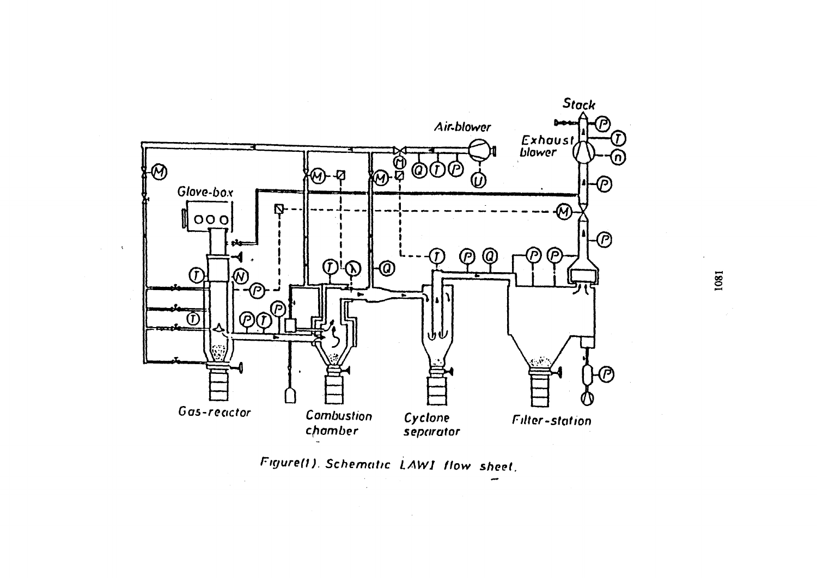

**Figure(i). Schematic LAW1 flow sheet.**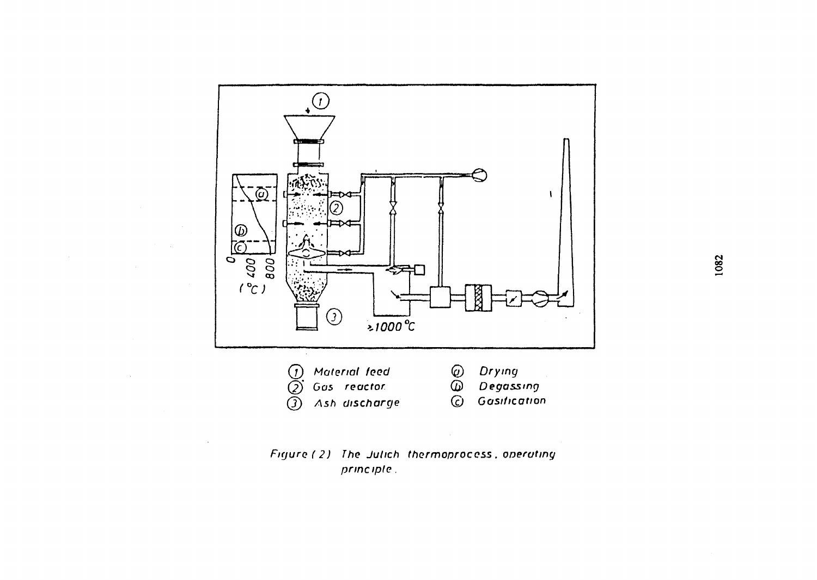

# Figure (2) The Julich thermoproccss . operating principle.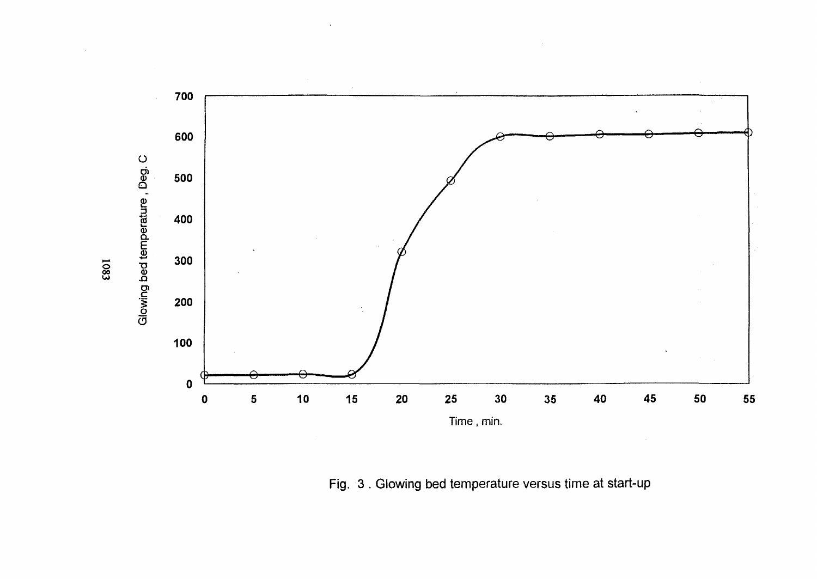

Fig. 3 . Glowing bed temperature versus time at start-up

ଛ  $\ddot{\phantom{0}}$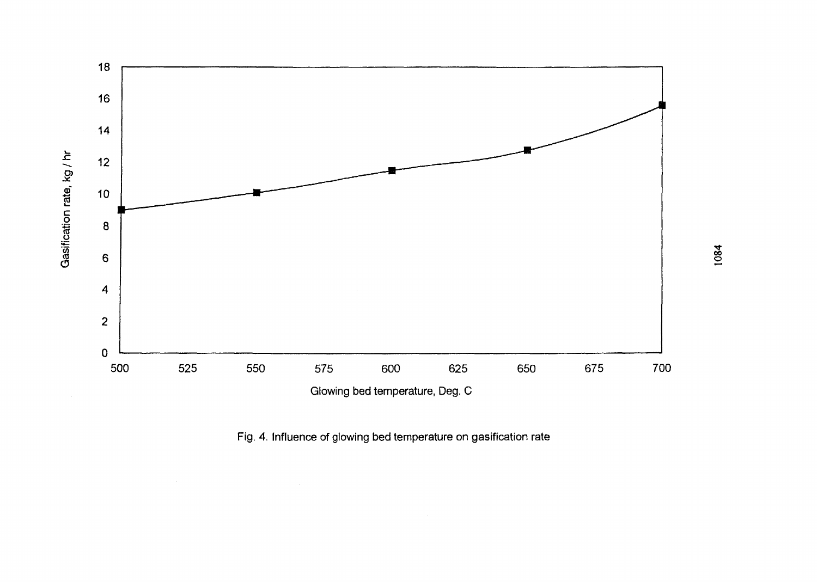

Fig. 4. Influence of glowing bed temperature on gasification rate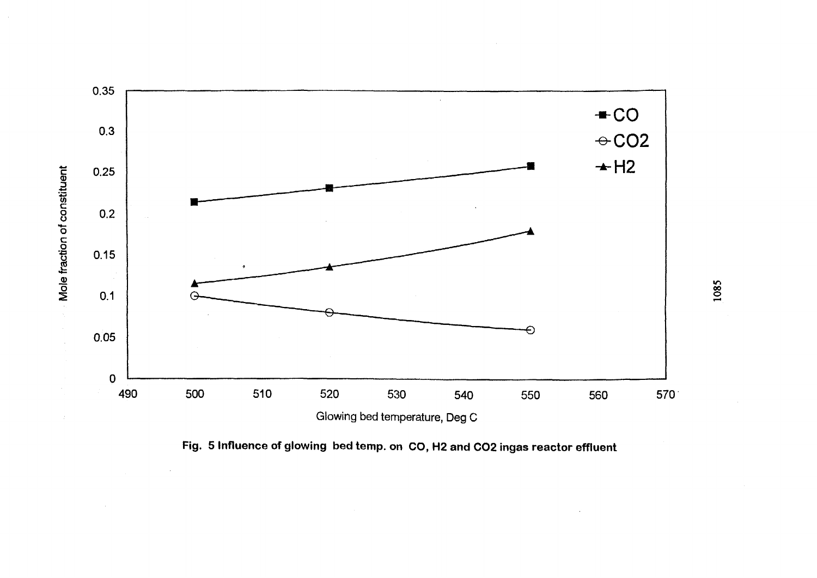

Fig. 5 Influence of glowing bed temp. on CO, H2 and CO2 ingas reactor effluent

1085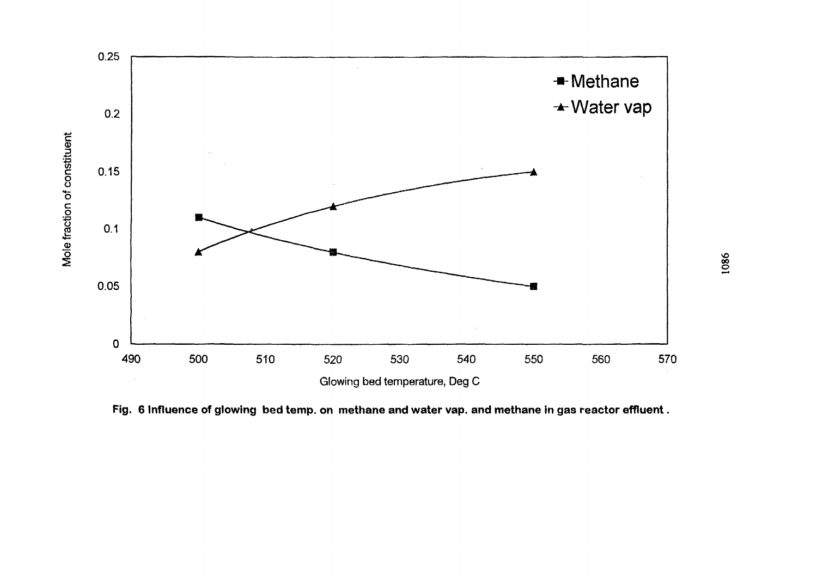

Fig. 6 Influence of glowing bed temp. on methane and water vap. and methane in gas reactor effluent.